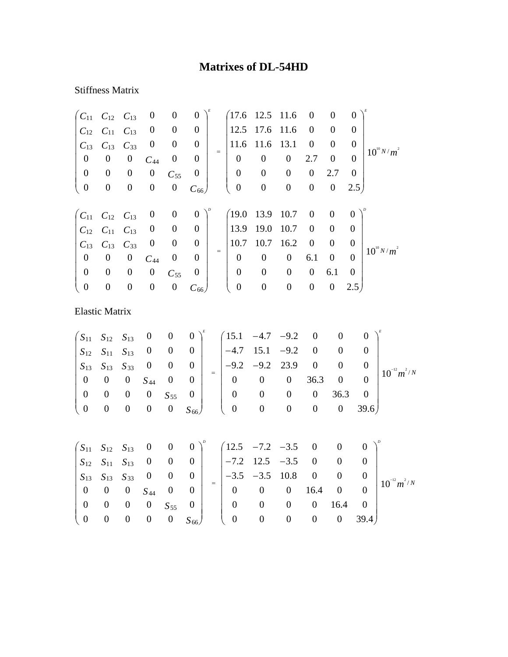## **Matrixes of DL-54HD**

## Stiffness Matrix

| $C_{11}$                                        | $C_{12}$         | $C_{13}$         | $\boldsymbol{0}$ | $\boldsymbol{0}$ | $\boldsymbol{0}$                            | (17.6)                                             | 12.5             | 11.6             | $\boldsymbol{0}$ | $\boldsymbol{0}$ | $\boldsymbol{0}$ |                  |
|-------------------------------------------------|------------------|------------------|------------------|------------------|---------------------------------------------|----------------------------------------------------|------------------|------------------|------------------|------------------|------------------|------------------|
| $C_{12}$                                        | $C_{11}$         | $C_{13}$         | $\boldsymbol{0}$ | $\boldsymbol{0}$ | $\boldsymbol{0}$                            | 12.5                                               | 17.6             | 11.6             | $\boldsymbol{0}$ | $\boldsymbol{0}$ | $\overline{0}$   |                  |
| $C_{13}$                                        | $C_{13}$         | $C_{33}$         | $\boldsymbol{0}$ | $\boldsymbol{0}$ | $\boldsymbol{0}$                            | 11.6                                               | 11.6             | 13.1             | $\boldsymbol{0}$ | $\boldsymbol{0}$ | $\mathbf{0}$     |                  |
| $\boldsymbol{0}$                                | $\boldsymbol{0}$ | $\boldsymbol{0}$ | $C_{44}$         | $\boldsymbol{0}$ | $\mathbf{0}$                                | $=$<br>$\boldsymbol{0}$                            | $\boldsymbol{0}$ | $\boldsymbol{0}$ | 2.7              | $\boldsymbol{0}$ | $\overline{0}$   | $10^{10} N/m^2$  |
| $\boldsymbol{0}$                                | $\boldsymbol{0}$ | $\boldsymbol{0}$ | $\boldsymbol{0}$ | $C_{55}$         | $\boldsymbol{0}$                            | $\boldsymbol{0}$                                   | $\boldsymbol{0}$ | $\boldsymbol{0}$ | $\boldsymbol{0}$ | 2.7              | $\mathbf{0}$     |                  |
| $\boldsymbol{0}$                                | $\boldsymbol{0}$ | $\boldsymbol{0}$ | $\boldsymbol{0}$ | $\boldsymbol{0}$ | $C_{66}$                                    | $\boldsymbol{0}$                                   | $\boldsymbol{0}$ | $\boldsymbol{0}$ | $\boldsymbol{0}$ | $\boldsymbol{0}$ | 2.5)             |                  |
| $\big( c_{11}$                                  | $C_{12}$         | $C_{13}$         | $\boldsymbol{0}$ | $\boldsymbol{0}$ | $\boldsymbol{0}$                            | (19.0)                                             | 13.9             | 10.7             | $\boldsymbol{0}$ | $\boldsymbol{0}$ | $\boldsymbol{0}$ |                  |
| $C_{12}$                                        | $C_{11}$         | $C_{13}$         | $\boldsymbol{0}$ | $\boldsymbol{0}$ | $\boldsymbol{0}$                            | 13.9                                               | 19.0             | 10.7             | $\boldsymbol{0}$ | $\boldsymbol{0}$ | $\boldsymbol{0}$ |                  |
| $C_{13}$                                        | $C_{13}$         | $C_{33}$         | $\boldsymbol{0}$ | $\boldsymbol{0}$ | $\boldsymbol{0}$                            | 10.7                                               | 10.7             | 16.2             | $\boldsymbol{0}$ | $\boldsymbol{0}$ | $\boldsymbol{0}$ |                  |
| $\boldsymbol{0}$                                | $\boldsymbol{0}$ | $\boldsymbol{0}$ | $C_{44}$         | $\boldsymbol{0}$ | $\overline{0}$                              | $\quad \  \  =$<br>$\boldsymbol{0}$                | $\boldsymbol{0}$ | $\boldsymbol{0}$ | 6.1              | $\boldsymbol{0}$ | $\overline{0}$   | $10^{10} N/m^2$  |
| $\boldsymbol{0}$                                | $\boldsymbol{0}$ | $\boldsymbol{0}$ | $\boldsymbol{0}$ | $C_{55}$         | $\boldsymbol{0}$                            | $\boldsymbol{0}$                                   | $\boldsymbol{0}$ | $\boldsymbol{0}$ | $\boldsymbol{0}$ | 6.1              | $\overline{0}$   |                  |
| $\boldsymbol{0}$                                | $\boldsymbol{0}$ | $\boldsymbol{0}$ | $\boldsymbol{0}$ | $\boldsymbol{0}$ | $C_{66}$                                    | $\boldsymbol{0}$                                   | $\boldsymbol{0}$ | $\boldsymbol{0}$ | $\boldsymbol{0}$ | $\boldsymbol{0}$ | 2.5)             |                  |
| <b>Elastic Matrix</b>                           |                  |                  |                  |                  |                                             |                                                    |                  |                  |                  |                  |                  |                  |
| $S_{11}$                                        | $S_{12}$         | $S_{13}$         | $\boldsymbol{0}$ | $\boldsymbol{0}$ | $\boldsymbol{0}$                            | 15.1                                               | $-4.7$           | $-9.2$           | $\boldsymbol{0}$ | $\boldsymbol{0}$ | $\boldsymbol{0}$ |                  |
| $S_{12}$                                        | $S_{11}$         | $S_{13}$         | $\overline{0}$   | $\boldsymbol{0}$ | $\boldsymbol{0}$                            | $-4.7$                                             | 15.1             | $-9.2$           | $\boldsymbol{0}$ | $\boldsymbol{0}$ | $\boldsymbol{0}$ |                  |
| $S_{13}$                                        | $S_{13}$         | $S_{33}$         | $\boldsymbol{0}$ | $\boldsymbol{0}$ | $\boldsymbol{0}$                            | $-9.2$<br>$=$                                      | $-9.2$           | 23.9             | $\boldsymbol{0}$ | $\boldsymbol{0}$ | $\boldsymbol{0}$ |                  |
| $\boldsymbol{0}$                                | $\boldsymbol{0}$ | $\boldsymbol{0}$ | $S_{44}$         | $\boldsymbol{0}$ | $\boldsymbol{0}$                            | $\boldsymbol{0}$                                   | $\boldsymbol{0}$ | $\boldsymbol{0}$ | 36.3             | $\boldsymbol{0}$ | $\boldsymbol{0}$ | $10^{-12} m^2/N$ |
| $\boldsymbol{0}$                                | $\boldsymbol{0}$ | $\boldsymbol{0}$ | $\boldsymbol{0}$ | $S_{55}$         | $\boldsymbol{0}$                            | $\boldsymbol{0}$                                   | $\boldsymbol{0}$ | $\boldsymbol{0}$ | $\boldsymbol{0}$ | 36.3             | $\boldsymbol{0}$ |                  |
| $\boldsymbol{0}$                                | $\mathbf{0}$     | $\boldsymbol{0}$ | $\boldsymbol{0}$ | $\boldsymbol{0}$ | $S_{66}$                                    | $\boldsymbol{0}$                                   | $\boldsymbol{0}$ | $\boldsymbol{0}$ | $\boldsymbol{0}$ | $\boldsymbol{0}$ | 39.6)            |                  |
| $\begin{pmatrix} S_{11} & S_{12} \end{pmatrix}$ |                  | $S_{13}$         | $\boldsymbol{0}$ |                  | $\begin{pmatrix} 0 & 0 \end{pmatrix}^{\nu}$ | $\begin{pmatrix} 12.5 & -7.2 & -3.5 \end{pmatrix}$ |                  |                  | $\boldsymbol{0}$ | $\boldsymbol{0}$ | $\overline{0}$   |                  |

|  |                                           | $1 \text{ } 011 \text{ } 012 \text{ } 013 \text{ } 013$ |            |                                                                                                   |                                                            |                                                            | ັ້ນເອີ້ນ |                  |  |
|--|-------------------------------------------|---------------------------------------------------------|------------|---------------------------------------------------------------------------------------------------|------------------------------------------------------------|------------------------------------------------------------|----------|------------------|--|
|  |                                           | $S_{12}$ $S_{11}$ $S_{13}$ 0 0 0                        |            |                                                                                                   |                                                            | $\begin{vmatrix} -7.2 & 12.5 & -3.5 & 0 & 0 \end{vmatrix}$ |          |                  |  |
|  |                                           |                                                         |            | $\begin{array}{ c c c c c c } \hline S_{13} & S_{13} & S_{33} & 0 & 0 & 0 & \\\hline \end{array}$ | $\begin{vmatrix} -3.5 & -3.5 & 10.8 & 0 & 0 \end{vmatrix}$ |                                                            |          | $ 10^{-12}m^2/N$ |  |
|  |                                           | $0 \t 0 \t 0 \t S_{44} \t 0 \t 0$                       |            |                                                                                                   |                                                            | $0 \t 0 \t 0 \t 16.4 \t 0$                                 |          |                  |  |
|  |                                           | $0 \quad 0 \quad 0 \quad 0 \quad S_{55} \quad 0 \mid$   |            |                                                                                                   |                                                            |                                                            |          | $0 \t16.4 \t0$   |  |
|  | $\begin{pmatrix} 0 & 0 & 0 \end{pmatrix}$ | $\overline{\phantom{0}}$                                | 0 $S_{66}$ |                                                                                                   |                                                            | 0                                                          |          | $0 \quad 39.4$   |  |